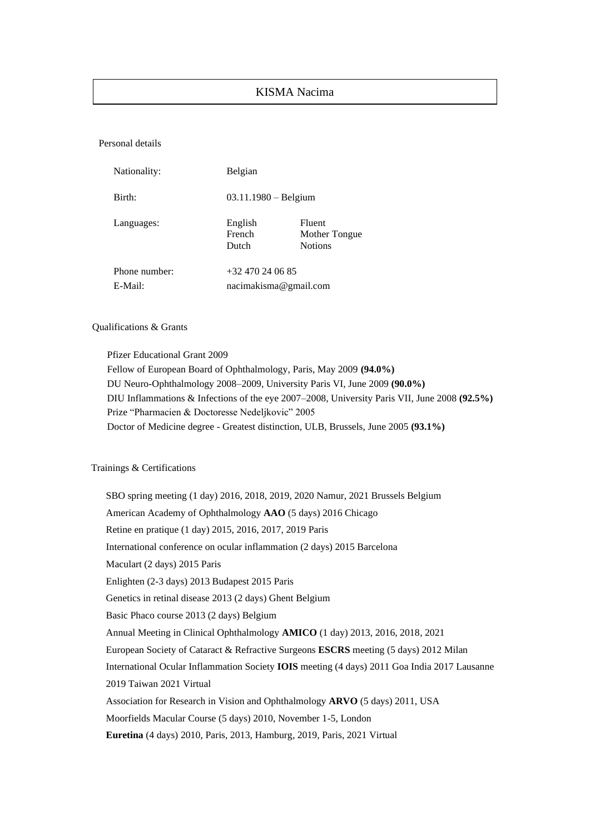### KISMA Nacima

Personal details

| Nationality:  | Belgian                    |                                                  |
|---------------|----------------------------|--------------------------------------------------|
| Birth:        | $03.11.1980 -$ Belgium     |                                                  |
| Languages:    | English<br>French<br>Dutch | <b>Fluent</b><br>Mother Tongue<br><b>Notions</b> |
| Phone number: | +32 470 24 06 85           |                                                  |
| E-Mail:       | nacimakisma@gmail.com      |                                                  |

#### Qualifications & Grants

Pfizer Educational Grant 2009 Fellow of European Board of Ophthalmology, Paris, May 2009 **(94.0%)** DU Neuro-Ophthalmology 2008–2009, University Paris VI, June 2009 **(90.0%)** DIU Inflammations & Infections of the eye 2007–2008, University Paris VII, June 2008 **(92.5%)** Prize "Pharmacien & Doctoresse Nedeljkovic" 2005 Doctor of Medicine degree - Greatest distinction, ULB, Brussels, June 2005 **(93.1%)**

#### Trainings & Certifications

SBO spring meeting (1 day) 2016, 2018, 2019, 2020 Namur, 2021 Brussels Belgium American Academy of Ophthalmology **AAO** (5 days) 2016 Chicago Retine en pratique (1 day) 2015, 2016, 2017, 2019 Paris International conference on ocular inflammation (2 days) 2015 Barcelona Maculart (2 days) 2015 Paris Enlighten (2-3 days) 2013 Budapest 2015 Paris Genetics in retinal disease 2013 (2 days) Ghent Belgium Basic Phaco course 2013 (2 days) Belgium Annual Meeting in Clinical Ophthalmology **AMICO** (1 day) 2013, 2016, 2018, 2021 European Society of Cataract & Refractive Surgeons **ESCRS** meeting (5 days) 2012 Milan International Ocular Inflammation Society **IOIS** meeting (4 days) 2011 Goa India 2017 Lausanne 2019 Taiwan 2021 Virtual Association for Research in Vision and Ophthalmology **ARVO** (5 days) 2011, USA Moorfields Macular Course (5 days) 2010, November 1-5, London **Euretina** (4 days) 2010, Paris, 2013, Hamburg, 2019, Paris, 2021 Virtual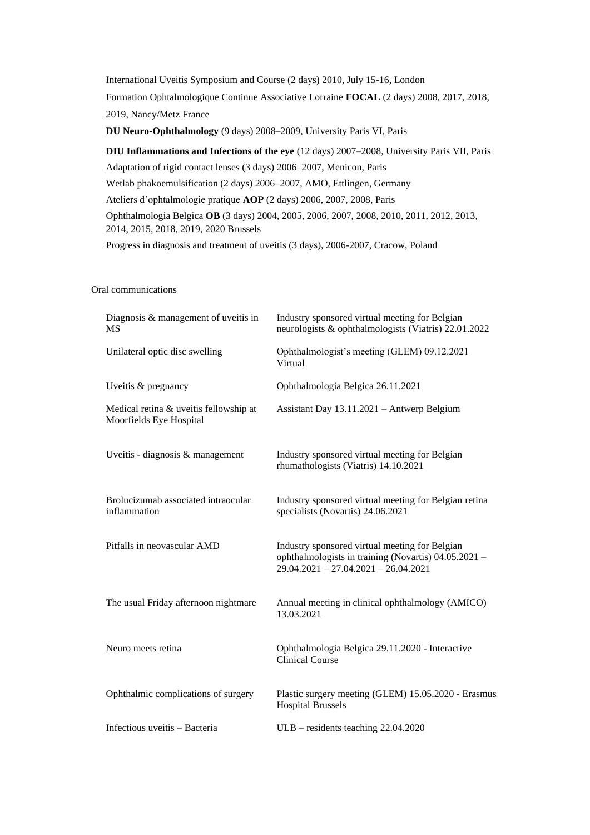International Uveitis Symposium and Course (2 days) 2010, July 15-16, London Formation Ophtalmologique Continue Associative Lorraine **FOCAL** (2 days) 2008, 2017, 2018, 2019, Nancy/Metz France

**DU Neuro-Ophthalmology** (9 days) 2008–2009, University Paris VI, Paris

**DIU Inflammations and Infections of the eye** (12 days) 2007–2008, University Paris VII, Paris Adaptation of rigid contact lenses (3 days) 2006–2007, Menicon, Paris Wetlab phakoemulsification (2 days) 2006–2007, AMO, Ettlingen, Germany Ateliers d'ophtalmologie pratique **AOP** (2 days) 2006, 2007, 2008, Paris Ophthalmologia Belgica **OB** (3 days) 2004, 2005, 2006, 2007, 2008, 2010, 2011, 2012, 2013, 2014, 2015, 2018, 2019, 2020 Brussels

Progress in diagnosis and treatment of uveitis (3 days), 2006-2007, Cracow, Poland

#### Oral communications

| Diagnosis & management of uveitis in<br>MS                        | Industry sponsored virtual meeting for Belgian<br>neurologists & ophthalmologists (Viatris) 22.01.2022                                           |
|-------------------------------------------------------------------|--------------------------------------------------------------------------------------------------------------------------------------------------|
| Unilateral optic disc swelling                                    | Ophthalmologist's meeting (GLEM) 09.12.2021<br>Virtual                                                                                           |
| Uveitis & pregnancy                                               | Ophthalmologia Belgica 26.11.2021                                                                                                                |
| Medical retina & uveitis fellowship at<br>Moorfields Eye Hospital | Assistant Day 13.11.2021 - Antwerp Belgium                                                                                                       |
| Uveitis - diagnosis & management                                  | Industry sponsored virtual meeting for Belgian<br>rhumathologists (Viatris) 14.10.2021                                                           |
| Brolucizumab associated intraocular<br>inflammation               | Industry sponsored virtual meeting for Belgian retina<br>specialists (Novartis) 24.06.2021                                                       |
| Pitfalls in neovascular AMD                                       | Industry sponsored virtual meeting for Belgian<br>ophthalmologists in training (Novartis) 04.05.2021 -<br>$29.04.2021 - 27.04.2021 - 26.04.2021$ |
| The usual Friday afternoon nightmare                              | Annual meeting in clinical ophthalmology (AMICO)<br>13.03.2021                                                                                   |
| Neuro meets retina                                                | Ophthalmologia Belgica 29.11.2020 - Interactive<br><b>Clinical Course</b>                                                                        |
| Ophthalmic complications of surgery                               | Plastic surgery meeting (GLEM) 15.05.2020 - Erasmus<br><b>Hospital Brussels</b>                                                                  |
| Infectious uveitis - Bacteria                                     | ULB - residents teaching 22.04.2020                                                                                                              |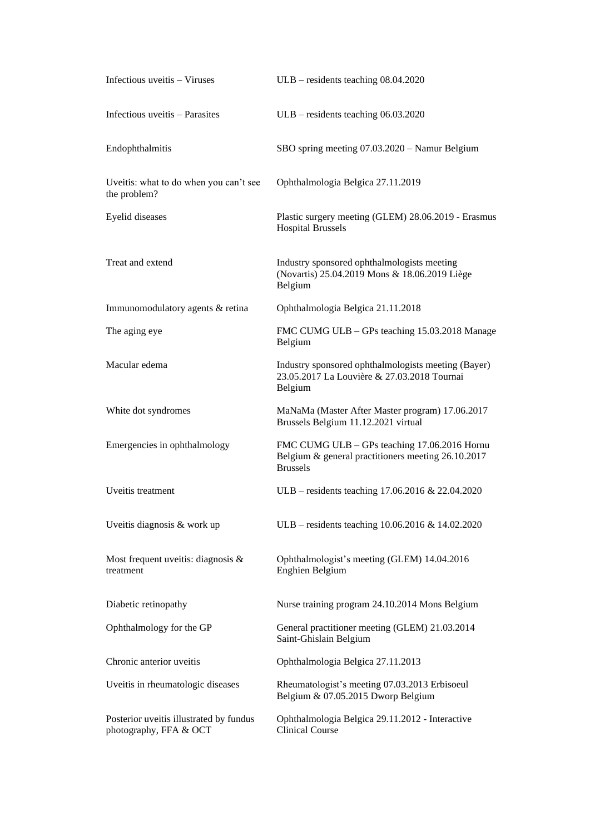| Infectious uveitis - Viruses                                      | $ULB -$ residents teaching 08.04.2020                                                                                 |
|-------------------------------------------------------------------|-----------------------------------------------------------------------------------------------------------------------|
| Infectious uveitis - Parasites                                    | $ULB -$ residents teaching 06.03.2020                                                                                 |
| Endophthalmitis                                                   | SBO spring meeting 07.03.2020 - Namur Belgium                                                                         |
| Uveitis: what to do when you can't see<br>the problem?            | Ophthalmologia Belgica 27.11.2019                                                                                     |
| Eyelid diseases                                                   | Plastic surgery meeting (GLEM) 28.06.2019 - Erasmus<br><b>Hospital Brussels</b>                                       |
| Treat and extend                                                  | Industry sponsored ophthalmologists meeting<br>(Novartis) 25.04.2019 Mons & 18.06.2019 Liège<br>Belgium               |
| Immunomodulatory agents & retina                                  | Ophthalmologia Belgica 21.11.2018                                                                                     |
| The aging eye                                                     | FMC CUMG ULB - GPs teaching 15.03.2018 Manage<br>Belgium                                                              |
| Macular edema                                                     | Industry sponsored ophthalmologists meeting (Bayer)<br>23.05.2017 La Louvière & 27.03.2018 Tournai<br>Belgium         |
| White dot syndromes                                               | MaNaMa (Master After Master program) 17.06.2017<br>Brussels Belgium 11.12.2021 virtual                                |
| Emergencies in ophthalmology                                      | FMC CUMG ULB - GPs teaching 17.06.2016 Hornu<br>Belgium & general practitioners meeting 26.10.2017<br><b>Brussels</b> |
| Uveitis treatment                                                 | ULB – residents teaching 17.06.2016 & 22.04.2020                                                                      |
| Uveitis diagnosis & work up                                       | ULB – residents teaching 10.06.2016 & 14.02.2020                                                                      |
| Most frequent uveitis: diagnosis $\&$<br>treatment                | Ophthalmologist's meeting (GLEM) 14.04.2016<br>Enghien Belgium                                                        |
| Diabetic retinopathy                                              | Nurse training program 24.10.2014 Mons Belgium                                                                        |
| Ophthalmology for the GP                                          | General practitioner meeting (GLEM) 21.03.2014<br>Saint-Ghislain Belgium                                              |
| Chronic anterior uveitis                                          | Ophthalmologia Belgica 27.11.2013                                                                                     |
| Uveitis in rheumatologic diseases                                 | Rheumatologist's meeting 07.03.2013 Erbisoeul<br>Belgium & 07.05.2015 Dworp Belgium                                   |
| Posterior uveitis illustrated by fundus<br>photography, FFA & OCT | Ophthalmologia Belgica 29.11.2012 - Interactive<br><b>Clinical Course</b>                                             |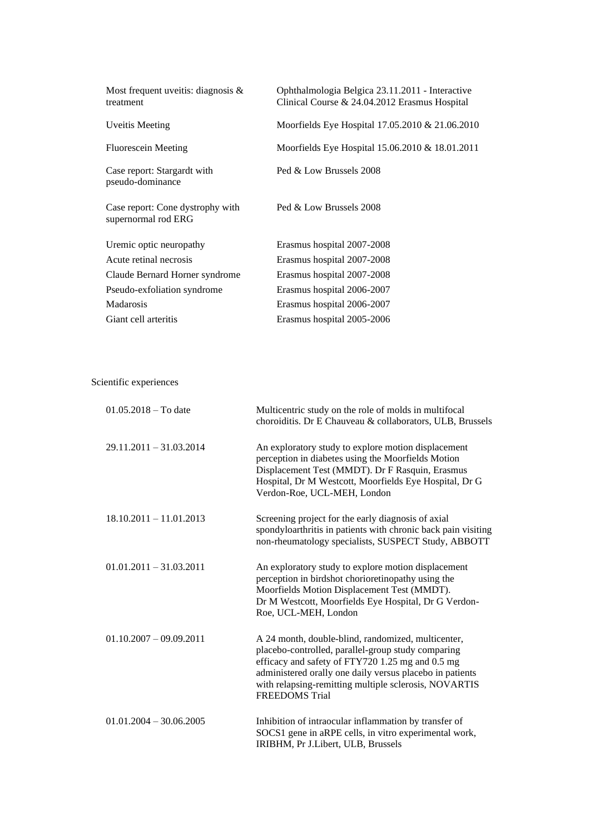| Most frequent uveitis: diagnosis $\&$<br>treatment      | Ophthalmologia Belgica 23.11.2011 - Interactive<br>Clinical Course & 24.04.2012 Erasmus Hospital |
|---------------------------------------------------------|--------------------------------------------------------------------------------------------------|
| <b>Uveitis Meeting</b>                                  | Moorfields Eye Hospital 17.05.2010 & 21.06.2010                                                  |
| <b>Fluorescein Meeting</b>                              | Moorfields Eye Hospital 15.06.2010 & 18.01.2011                                                  |
| Case report: Stargardt with<br>pseudo-dominance         | Ped & Low Brussels 2008                                                                          |
| Case report: Cone dystrophy with<br>supernormal rod ERG | Ped & Low Brussels 2008                                                                          |
| Uremic optic neuropathy                                 | Erasmus hospital 2007-2008                                                                       |
| Acute retinal necrosis                                  | Erasmus hospital 2007-2008                                                                       |
| Claude Bernard Horner syndrome                          | Erasmus hospital 2007-2008                                                                       |
| Pseudo-exfoliation syndrome                             | Erasmus hospital 2006-2007                                                                       |
| Madarosis                                               | Erasmus hospital 2006-2007                                                                       |
| Giant cell arteritis                                    | Erasmus hospital 2005-2006                                                                       |

Scientific experiences

| $01.05.2018 - To date$    | Multicentric study on the role of molds in multifocal<br>choroiditis. Dr E Chauveau & collaborators, ULB, Brussels                                                                                                                                                                                         |
|---------------------------|------------------------------------------------------------------------------------------------------------------------------------------------------------------------------------------------------------------------------------------------------------------------------------------------------------|
| $29.11.2011 - 31.03.2014$ | An exploratory study to explore motion displacement<br>perception in diabetes using the Moorfields Motion<br>Displacement Test (MMDT). Dr F Rasquin, Erasmus<br>Hospital, Dr M Westcott, Moorfields Eye Hospital, Dr G<br>Verdon-Roe, UCL-MEH, London                                                      |
| $18.10.2011 - 11.01.2013$ | Screening project for the early diagnosis of axial<br>spondyloarthritis in patients with chronic back pain visiting<br>non-rheumatology specialists, SUSPECT Study, ABBOTT                                                                                                                                 |
| $01.01.2011 - 31.03.2011$ | An exploratory study to explore motion displacement<br>perception in birdshot chorioretinopathy using the<br>Moorfields Motion Displacement Test (MMDT).<br>Dr M Westcott, Moorfields Eye Hospital, Dr G Verdon-<br>Roe, UCL-MEH, London                                                                   |
| $01.10.2007 - 09.09.2011$ | A 24 month, double-blind, randomized, multicenter,<br>placebo-controlled, parallel-group study comparing<br>efficacy and safety of FTY720 1.25 mg and 0.5 mg<br>administered orally one daily versus placebo in patients<br>with relapsing-remitting multiple sclerosis, NOVARTIS<br><b>FREEDOMS</b> Trial |
| $01.01.2004 - 30.06.2005$ | Inhibition of intraocular inflammation by transfer of<br>SOCS1 gene in aRPE cells, in vitro experimental work,<br>IRIBHM, Pr J.Libert, ULB, Brussels                                                                                                                                                       |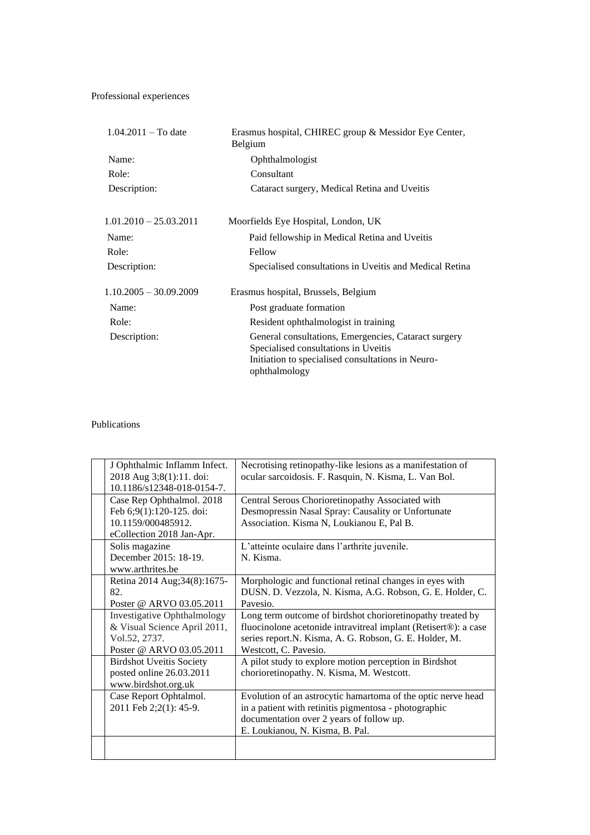# Professional experiences

| $1.04.2011 - To date$    | Erasmus hospital, CHIREC group & Messidor Eye Center,<br>Belgium   |
|--------------------------|--------------------------------------------------------------------|
| Name:                    | Ophthalmologist                                                    |
| Role:                    | Consultant                                                         |
| Description:             | Cataract surgery, Medical Retina and Uveitis                       |
| $1.01.2010 - 25.03.2011$ | Moorfields Eye Hospital, London, UK                                |
| Name:                    | Paid fellowship in Medical Retina and Uveitis                      |
| Role:                    | Fellow                                                             |
| Description:             | Specialised consultations in Uveitis and Medical Retina            |
| $1.10.2005 - 30.09.2009$ | Erasmus hospital, Brussels, Belgium                                |
| Name:                    | Post graduate formation                                            |
| Role:                    | Resident ophthalmologist in training                               |
| Description:             | General consultations, Emergencies, Cataract surgery               |
|                          | Specialised consultations in Uveitis                               |
|                          | Initiation to specialised consultations in Neuro-<br>ophthalmology |

## Publications

| J Ophthalmic Inflamm Infect.<br>2018 Aug 3;8(1):11. doi:<br>10.1186/s12348-018-0154-7.                          | Necrotising retinopathy-like lesions as a manifestation of<br>ocular sarcoidosis. F. Rasquin, N. Kisma, L. Van Bol.                                                                                              |
|-----------------------------------------------------------------------------------------------------------------|------------------------------------------------------------------------------------------------------------------------------------------------------------------------------------------------------------------|
| Case Rep Ophthalmol. 2018<br>Feb 6;9(1):120-125. doi:<br>10.1159/000485912.<br>eCollection 2018 Jan-Apr.        | Central Serous Chorioretinopathy Associated with<br>Desmopressin Nasal Spray: Causality or Unfortunate<br>Association. Kisma N, Loukianou E, Pal B.                                                              |
| Solis magazine<br>December 2015: 18-19.<br>www.arthrites.be                                                     | L'atteinte oculaire dans l'arthrite juvenile.<br>N. Kisma.                                                                                                                                                       |
| Retina 2014 Aug; 34(8): 1675-<br>82.<br>Poster @ ARVO 03.05.2011                                                | Morphologic and functional retinal changes in eyes with<br>DUSN. D. Vezzola, N. Kisma, A.G. Robson, G. E. Holder, C.<br>Pavesio.                                                                                 |
| <b>Investigative Ophthalmology</b><br>& Visual Science April 2011,<br>Vol.52, 2737.<br>Poster @ ARVO 03.05.2011 | Long term outcome of birdshot chorioretinopathy treated by<br>fluocinolone acetonide intravitreal implant (Retisert®): a case<br>series report.N. Kisma, A. G. Robson, G. E. Holder, M.<br>Westcott, C. Pavesio. |
| <b>Birdshot Uveitis Society</b><br>posted online 26.03.2011<br>www.birdshot.org.uk                              | A pilot study to explore motion perception in Birdshot<br>chorioretinopathy. N. Kisma, M. Westcott.                                                                                                              |
| Case Report Ophtalmol.<br>2011 Feb 2;2(1): 45-9.                                                                | Evolution of an astrocytic hamartoma of the optic nerve head<br>in a patient with retinitis pigmentosa - photographic<br>documentation over 2 years of follow up.<br>E. Loukianou, N. Kisma, B. Pal.             |
|                                                                                                                 |                                                                                                                                                                                                                  |